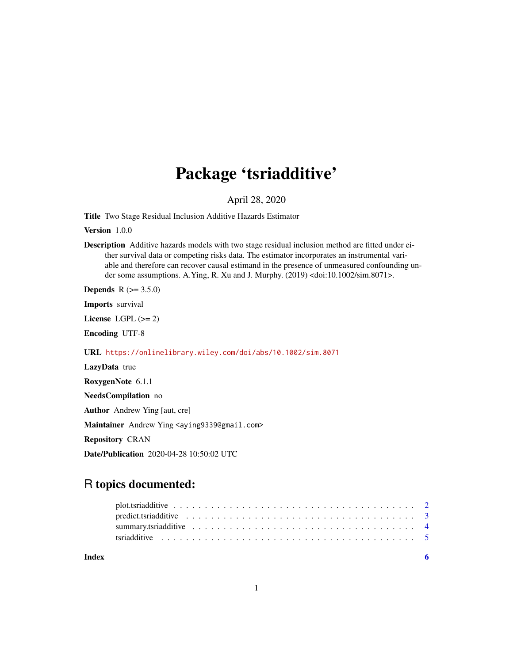## Package 'tsriadditive'

April 28, 2020

Title Two Stage Residual Inclusion Additive Hazards Estimator

Version 1.0.0

Description Additive hazards models with two stage residual inclusion method are fitted under either survival data or competing risks data. The estimator incorporates an instrumental variable and therefore can recover causal estimand in the presence of unmeasured confounding under some assumptions. A.Ying, R. Xu and J. Murphy. (2019) <doi:10.1002/sim.8071>.

**Depends**  $R$  ( $>= 3.5.0$ )

Imports survival

License LGPL  $(>= 2)$ 

Encoding UTF-8

URL <https://onlinelibrary.wiley.com/doi/abs/10.1002/sim.8071>

LazyData true RoxygenNote 6.1.1 NeedsCompilation no Author Andrew Ying [aut, cre] Maintainer Andrew Ying <aying9339@gmail.com> Repository CRAN Date/Publication 2020-04-28 10:50:02 UTC

### R topics documented:

| Index | - 6                                                                                                               |  |
|-------|-------------------------------------------------------------------------------------------------------------------|--|
|       |                                                                                                                   |  |
|       |                                                                                                                   |  |
|       | predict.tsriadditive $\ldots \ldots \ldots \ldots \ldots \ldots \ldots \ldots \ldots \ldots \ldots \ldots \ldots$ |  |
|       |                                                                                                                   |  |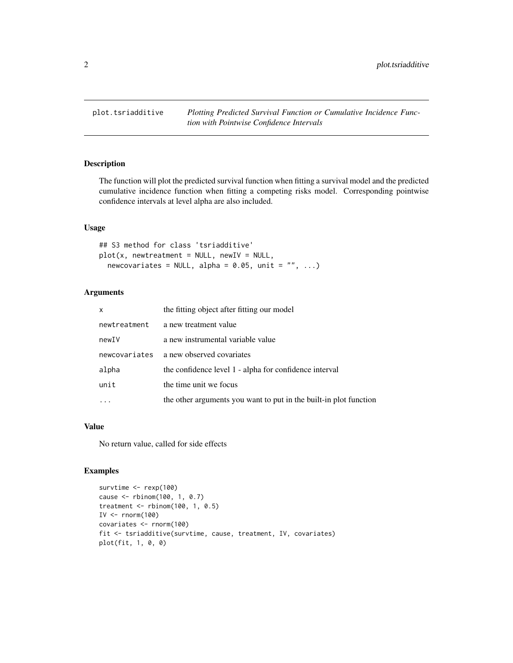<span id="page-1-0"></span>

#### Description

The function will plot the predicted survival function when fitting a survival model and the predicted cumulative incidence function when fitting a competing risks model. Corresponding pointwise confidence intervals at level alpha are also included.

#### Usage

## S3 method for class 'tsriadditive'  $plot(x, new treatment = NULL, newIV = NULL,$ newcovariates = NULL, alpha =  $0.05$ , unit = "", ...)

#### Arguments

| x             | the fitting object after fitting our model                        |
|---------------|-------------------------------------------------------------------|
| newtreatment  | a new treatment value                                             |
| newIV         | a new instrumental variable value                                 |
| newcovariates | a new observed covariates                                         |
| alpha         | the confidence level 1 - alpha for confidence interval            |
| unit          | the time unit we focus                                            |
|               | the other arguments you want to put in the built-in plot function |

#### Value

No return value, called for side effects

```
survtime <- rexp(100)
cause <- rbinom(100, 1, 0.7)
treatment <- rbinom(100, 1, 0.5)
IV \le rnorm(100)
covariates <- rnorm(100)
fit <- tsriadditive(survtime, cause, treatment, IV, covariates)
plot(fit, 1, 0, 0)
```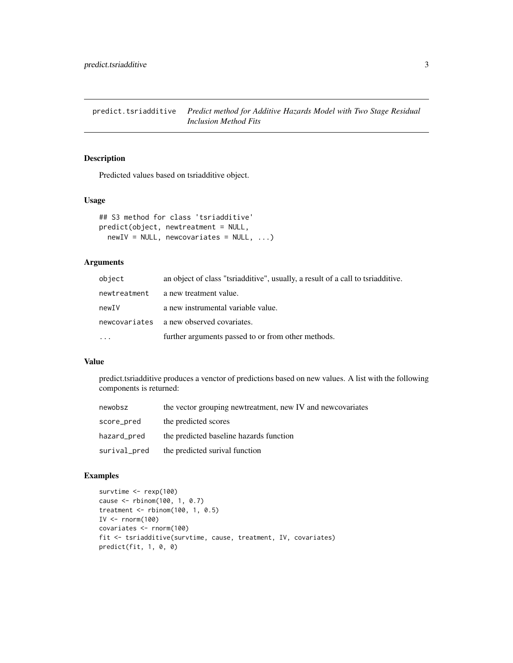<span id="page-2-0"></span>predict.tsriadditive *Predict method for Additive Hazards Model with Two Stage Residual Inclusion Method Fits*

#### Description

Predicted values based on tsriadditive object.

#### Usage

```
## S3 method for class 'tsriadditive'
predict(object, newtreatment = NULL,
 newIV = NULL, newcovariates = NULL, ...
```
#### Arguments

| object       | an object of class "tsriadditive", usually, a result of a call to tsriadditive. |
|--------------|---------------------------------------------------------------------------------|
| newtreatment | a new treatment value.                                                          |
| newIV        | a new instrumental variable value.                                              |
|              | newcovariates a new observed covariates.                                        |
| $\ddots$ .   | further arguments passed to or from other methods.                              |

#### Value

predict.tsriadditive produces a venctor of predictions based on new values. A list with the following components is returned:

| newobsz      | the vector grouping newtreatment, new IV and newcovariates |
|--------------|------------------------------------------------------------|
| score_pred   | the predicted scores                                       |
| hazard_pred  | the predicted baseline hazards function                    |
| surival_pred | the predicted surival function                             |

```
survtime <- rexp(100)
cause <- rbinom(100, 1, 0.7)
treatment <- rbinom(100, 1, 0.5)
IV \leftarrow rnorm(100)
covariates <- rnorm(100)
fit <- tsriadditive(survtime, cause, treatment, IV, covariates)
predict(fit, 1, 0, 0)
```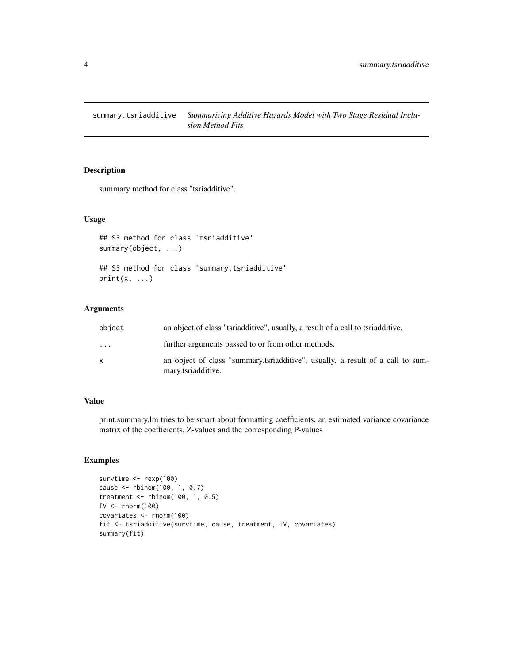<span id="page-3-0"></span>summary.tsriadditive *Summarizing Additive Hazards Model with Two Stage Residual Inclusion Method Fits*

#### Description

summary method for class "tsriadditive".

#### Usage

```
## S3 method for class 'tsriadditive'
summary(object, ...)
```

```
## S3 method for class 'summary.tsriadditive'
print(x, \ldots)
```
#### Arguments

| object                  | an object of class "tsriadditive", usually, a result of a call to tsriadditive.                      |
|-------------------------|------------------------------------------------------------------------------------------------------|
| $\cdot$ $\cdot$ $\cdot$ | further arguments passed to or from other methods.                                                   |
| X                       | an object of class "summary tsriadditive", usually, a result of a call to sum-<br>mary.tsriadditive. |

#### Value

print.summary.lm tries to be smart about formatting coefficients, an estimated variance covariance matrix of the coeffieients, Z-values and the corresponding P-values

```
survtime <- rexp(100)
cause <- rbinom(100, 1, 0.7)
treatment <- rbinom(100, 1, 0.5)
IV \le rnorm(100)
covariates <- rnorm(100)
fit <- tsriadditive(survtime, cause, treatment, IV, covariates)
summary(fit)
```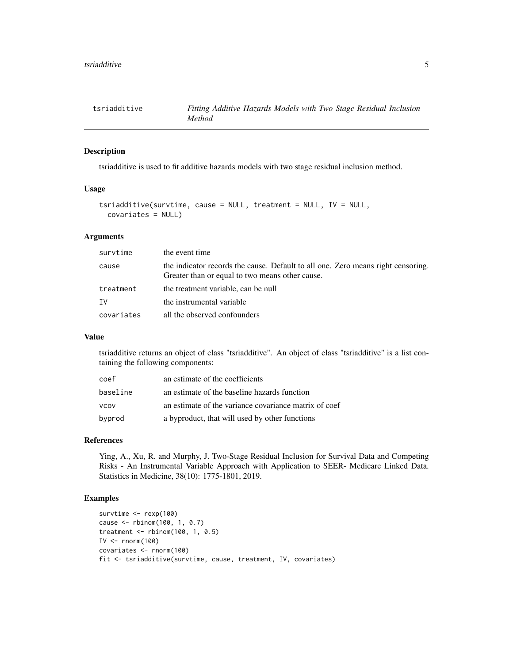<span id="page-4-0"></span>

#### Description

tsriadditive is used to fit additive hazards models with two stage residual inclusion method.

#### Usage

```
tsriadditive(survtime, cause = NULL, treatment = NULL, IV = NULL,
  covariates = NULL)
```
#### Arguments

| survtime   | the event time                                                                                                                      |
|------------|-------------------------------------------------------------------------------------------------------------------------------------|
| cause      | the indicator records the cause. Default to all one. Zero means right censoring.<br>Greater than or equal to two means other cause. |
| treatment  | the treatment variable, can be null                                                                                                 |
| IV         | the instrumental variable                                                                                                           |
| covariates | all the observed confounders                                                                                                        |

#### Value

tsriadditive returns an object of class "tsriadditive". An object of class "tsriadditive" is a list containing the following components:

| coef        | an estimate of the coefficients                       |
|-------------|-------------------------------------------------------|
| baseline    | an estimate of the baseline hazards function          |
| <b>VCOV</b> | an estimate of the variance covariance matrix of coef |
| byprod      | a byproduct, that will used by other functions        |

#### References

Ying, A., Xu, R. and Murphy, J. Two-Stage Residual Inclusion for Survival Data and Competing Risks - An Instrumental Variable Approach with Application to SEER- Medicare Linked Data. Statistics in Medicine, 38(10): 1775-1801, 2019.

```
survtime <- rexp(100)
cause <- rbinom(100, 1, 0.7)
treatment <- rbinom(100, 1, 0.5)
IV \leftarrow rnorm(100)
covariates <- rnorm(100)
fit <- tsriadditive(survtime, cause, treatment, IV, covariates)
```